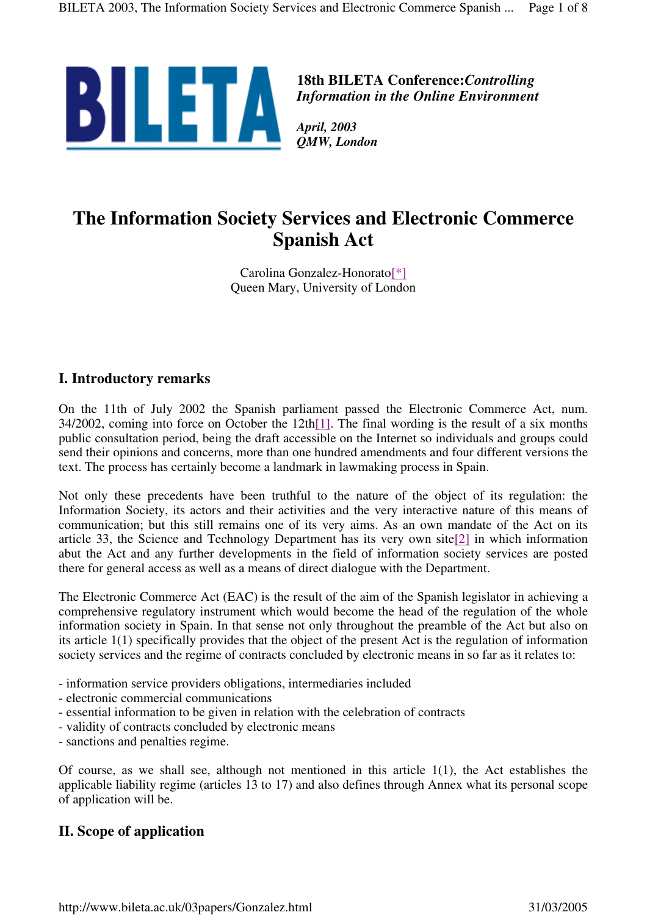

**18th BILETA Conference:***Controlling Information in the Online Environment*

*QMW, London*

# **The Information Society Services and Electronic Commerce Spanish Act**

Carolina Gonzalez-Honorato[\*] Queen Mary, University of London

#### **I. Introductory remarks**

On the 11th of July 2002 the Spanish parliament passed the Electronic Commerce Act, num. 34/2002, coming into force on October the 12th[1]. The final wording is the result of a six months public consultation period, being the draft accessible on the Internet so individuals and groups could send their opinions and concerns, more than one hundred amendments and four different versions the text. The process has certainly become a landmark in lawmaking process in Spain.

Not only these precedents have been truthful to the nature of the object of its regulation: the Information Society, its actors and their activities and the very interactive nature of this means of communication; but this still remains one of its very aims. As an own mandate of the Act on its article 33, the Science and Technology Department has its very own site[2] in which information abut the Act and any further developments in the field of information society services are posted there for general access as well as a means of direct dialogue with the Department.

The Electronic Commerce Act (EAC) is the result of the aim of the Spanish legislator in achieving a comprehensive regulatory instrument which would become the head of the regulation of the whole information society in Spain. In that sense not only throughout the preamble of the Act but also on its article 1(1) specifically provides that the object of the present Act is the regulation of information society services and the regime of contracts concluded by electronic means in so far as it relates to:

- information service providers obligations, intermediaries included
- electronic commercial communications
- essential information to be given in relation with the celebration of contracts
- validity of contracts concluded by electronic means
- sanctions and penalties regime.

Of course, as we shall see, although not mentioned in this article  $1(1)$ , the Act establishes the applicable liability regime (articles 13 to 17) and also defines through Annex what its personal scope of application will be.

## **II. Scope of application**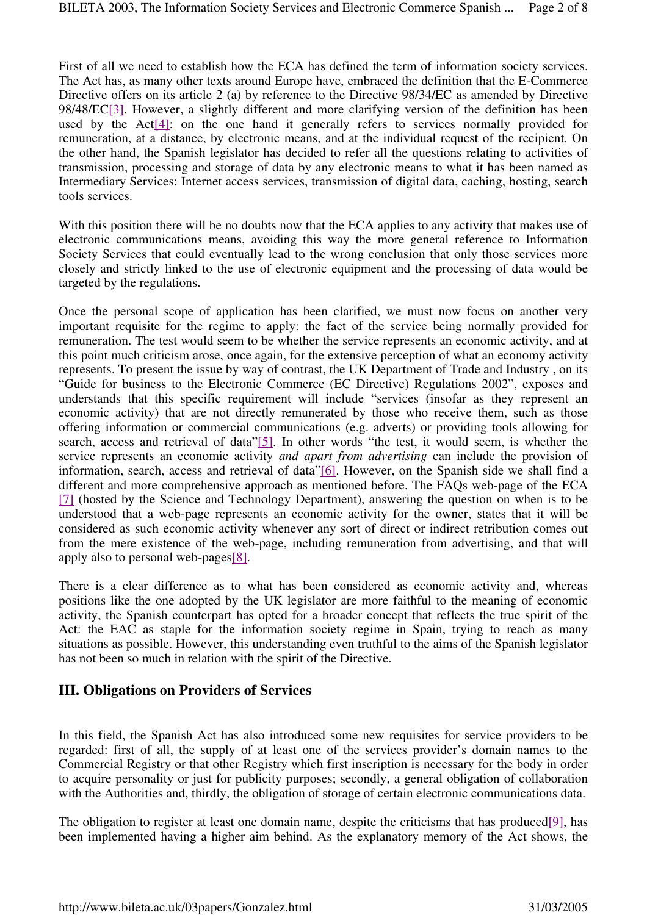First of all we need to establish how the ECA has defined the term of information society services. The Act has, as many other texts around Europe have, embraced the definition that the E-Commerce Directive offers on its article 2 (a) by reference to the Directive 98/34/EC as amended by Directive 98/48/EC[3]. However, a slightly different and more clarifying version of the definition has been used by the Act[4]: on the one hand it generally refers to services normally provided for remuneration, at a distance, by electronic means, and at the individual request of the recipient. On the other hand, the Spanish legislator has decided to refer all the questions relating to activities of transmission, processing and storage of data by any electronic means to what it has been named as Intermediary Services: Internet access services, transmission of digital data, caching, hosting, search tools services.

With this position there will be no doubts now that the ECA applies to any activity that makes use of electronic communications means, avoiding this way the more general reference to Information Society Services that could eventually lead to the wrong conclusion that only those services more closely and strictly linked to the use of electronic equipment and the processing of data would be targeted by the regulations.

Once the personal scope of application has been clarified, we must now focus on another very important requisite for the regime to apply: the fact of the service being normally provided for remuneration. The test would seem to be whether the service represents an economic activity, and at this point much criticism arose, once again, for the extensive perception of what an economy activity represents. To present the issue by way of contrast, the UK Department of Trade and Industry , on its "Guide for business to the Electronic Commerce (EC Directive) Regulations 2002", exposes and understands that this specific requirement will include "services (insofar as they represent an economic activity) that are not directly remunerated by those who receive them, such as those offering information or commercial communications (e.g. adverts) or providing tools allowing for search, access and retrieval of data"[5]. In other words "the test, it would seem, is whether the service represents an economic activity *and apart from advertising* can include the provision of information, search, access and retrieval of data"[6]. However, on the Spanish side we shall find a different and more comprehensive approach as mentioned before. The FAQs web-page of the ECA [7] (hosted by the Science and Technology Department), answering the question on when is to be understood that a web-page represents an economic activity for the owner, states that it will be considered as such economic activity whenever any sort of direct or indirect retribution comes out from the mere existence of the web-page, including remuneration from advertising, and that will apply also to personal web-pages[8].

There is a clear difference as to what has been considered as economic activity and, whereas positions like the one adopted by the UK legislator are more faithful to the meaning of economic activity, the Spanish counterpart has opted for a broader concept that reflects the true spirit of the Act: the EAC as staple for the information society regime in Spain, trying to reach as many situations as possible. However, this understanding even truthful to the aims of the Spanish legislator has not been so much in relation with the spirit of the Directive.

## **III. Obligations on Providers of Services**

In this field, the Spanish Act has also introduced some new requisites for service providers to be regarded: first of all, the supply of at least one of the services provider's domain names to the Commercial Registry or that other Registry which first inscription is necessary for the body in order to acquire personality or just for publicity purposes; secondly, a general obligation of collaboration with the Authorities and, thirdly, the obligation of storage of certain electronic communications data.

The obligation to register at least one domain name, despite the criticisms that has produced[9], has been implemented having a higher aim behind. As the explanatory memory of the Act shows, the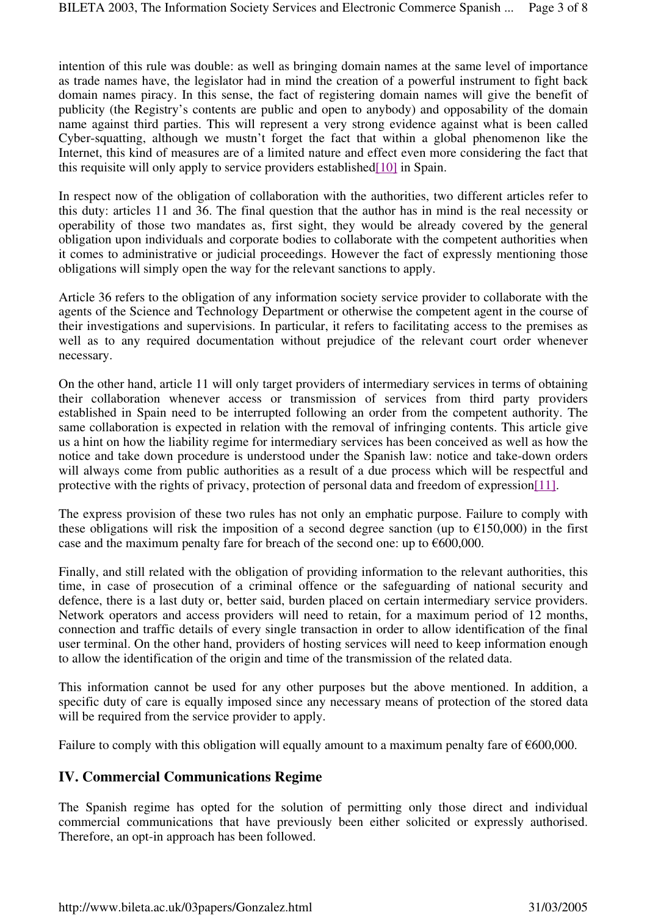intention of this rule was double: as well as bringing domain names at the same level of importance as trade names have, the legislator had in mind the creation of a powerful instrument to fight back domain names piracy. In this sense, the fact of registering domain names will give the benefit of publicity (the Registry's contents are public and open to anybody) and opposability of the domain name against third parties. This will represent a very strong evidence against what is been called Cyber-squatting, although we mustn't forget the fact that within a global phenomenon like the Internet, this kind of measures are of a limited nature and effect even more considering the fact that this requisite will only apply to service providers established[10] in Spain.

In respect now of the obligation of collaboration with the authorities, two different articles refer to this duty: articles 11 and 36. The final question that the author has in mind is the real necessity or operability of those two mandates as, first sight, they would be already covered by the general obligation upon individuals and corporate bodies to collaborate with the competent authorities when it comes to administrative or judicial proceedings. However the fact of expressly mentioning those obligations will simply open the way for the relevant sanctions to apply.

Article 36 refers to the obligation of any information society service provider to collaborate with the agents of the Science and Technology Department or otherwise the competent agent in the course of their investigations and supervisions. In particular, it refers to facilitating access to the premises as well as to any required documentation without prejudice of the relevant court order whenever necessary.

On the other hand, article 11 will only target providers of intermediary services in terms of obtaining their collaboration whenever access or transmission of services from third party providers established in Spain need to be interrupted following an order from the competent authority. The same collaboration is expected in relation with the removal of infringing contents. This article give us a hint on how the liability regime for intermediary services has been conceived as well as how the notice and take down procedure is understood under the Spanish law: notice and take-down orders will always come from public authorities as a result of a due process which will be respectful and protective with the rights of privacy, protection of personal data and freedom of expression[11].

The express provision of these two rules has not only an emphatic purpose. Failure to comply with these obligations will risk the imposition of a second degree sanction (up to  $\epsilon$ 150,000) in the first case and the maximum penalty fare for breach of the second one: up to  $\epsilon$ 600,000.

Finally, and still related with the obligation of providing information to the relevant authorities, this time, in case of prosecution of a criminal offence or the safeguarding of national security and defence, there is a last duty or, better said, burden placed on certain intermediary service providers. Network operators and access providers will need to retain, for a maximum period of 12 months, connection and traffic details of every single transaction in order to allow identification of the final user terminal. On the other hand, providers of hosting services will need to keep information enough to allow the identification of the origin and time of the transmission of the related data.

This information cannot be used for any other purposes but the above mentioned. In addition, a specific duty of care is equally imposed since any necessary means of protection of the stored data will be required from the service provider to apply.

Failure to comply with this obligation will equally amount to a maximum penalty fare of  $\epsilon$ 600,000.

## **IV. Commercial Communications Regime**

The Spanish regime has opted for the solution of permitting only those direct and individual commercial communications that have previously been either solicited or expressly authorised. Therefore, an opt-in approach has been followed.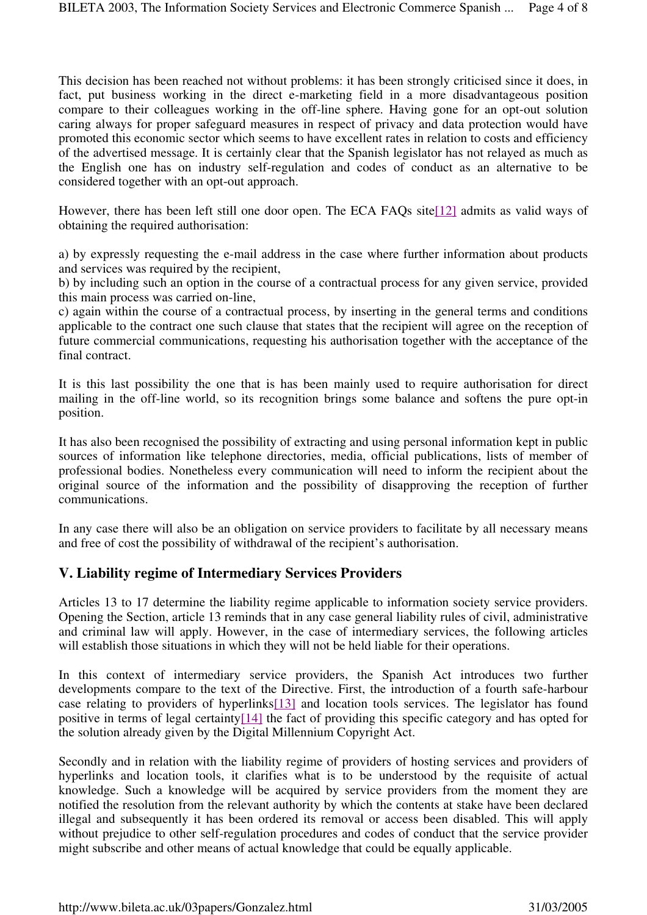This decision has been reached not without problems: it has been strongly criticised since it does, in fact, put business working in the direct e-marketing field in a more disadvantageous position compare to their colleagues working in the off-line sphere. Having gone for an opt-out solution caring always for proper safeguard measures in respect of privacy and data protection would have promoted this economic sector which seems to have excellent rates in relation to costs and efficiency of the advertised message. It is certainly clear that the Spanish legislator has not relayed as much as the English one has on industry self-regulation and codes of conduct as an alternative to be considered together with an opt-out approach.

However, there has been left still one door open. The ECA FAQs site[12] admits as valid ways of obtaining the required authorisation:

a) by expressly requesting the e-mail address in the case where further information about products and services was required by the recipient,

b) by including such an option in the course of a contractual process for any given service, provided this main process was carried on-line,

c) again within the course of a contractual process, by inserting in the general terms and conditions applicable to the contract one such clause that states that the recipient will agree on the reception of future commercial communications, requesting his authorisation together with the acceptance of the final contract.

It is this last possibility the one that is has been mainly used to require authorisation for direct mailing in the off-line world, so its recognition brings some balance and softens the pure opt-in position.

It has also been recognised the possibility of extracting and using personal information kept in public sources of information like telephone directories, media, official publications, lists of member of professional bodies. Nonetheless every communication will need to inform the recipient about the original source of the information and the possibility of disapproving the reception of further communications.

In any case there will also be an obligation on service providers to facilitate by all necessary means and free of cost the possibility of withdrawal of the recipient's authorisation.

## **V. Liability regime of Intermediary Services Providers**

Articles 13 to 17 determine the liability regime applicable to information society service providers. Opening the Section, article 13 reminds that in any case general liability rules of civil, administrative and criminal law will apply. However, in the case of intermediary services, the following articles will establish those situations in which they will not be held liable for their operations.

In this context of intermediary service providers, the Spanish Act introduces two further developments compare to the text of the Directive. First, the introduction of a fourth safe-harbour case relating to providers of hyperlinks[13] and location tools services. The legislator has found positive in terms of legal certainty[14] the fact of providing this specific category and has opted for the solution already given by the Digital Millennium Copyright Act.

Secondly and in relation with the liability regime of providers of hosting services and providers of hyperlinks and location tools, it clarifies what is to be understood by the requisite of actual knowledge. Such a knowledge will be acquired by service providers from the moment they are notified the resolution from the relevant authority by which the contents at stake have been declared illegal and subsequently it has been ordered its removal or access been disabled. This will apply without prejudice to other self-regulation procedures and codes of conduct that the service provider might subscribe and other means of actual knowledge that could be equally applicable.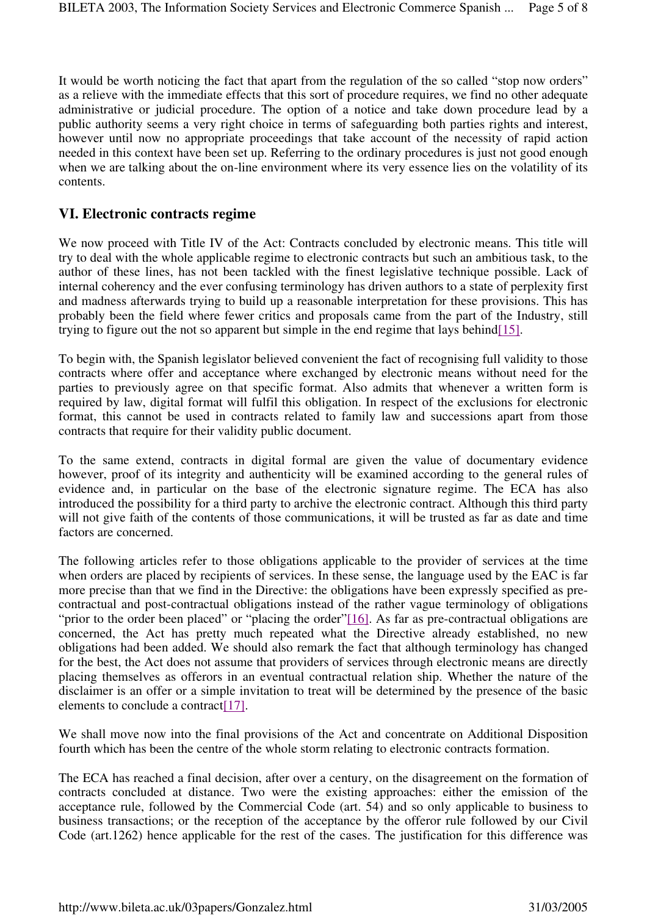It would be worth noticing the fact that apart from the regulation of the so called "stop now orders" as a relieve with the immediate effects that this sort of procedure requires, we find no other adequate administrative or judicial procedure. The option of a notice and take down procedure lead by a public authority seems a very right choice in terms of safeguarding both parties rights and interest, however until now no appropriate proceedings that take account of the necessity of rapid action needed in this context have been set up. Referring to the ordinary procedures is just not good enough when we are talking about the on-line environment where its very essence lies on the volatility of its contents.

#### **VI. Electronic contracts regime**

We now proceed with Title IV of the Act: Contracts concluded by electronic means. This title will try to deal with the whole applicable regime to electronic contracts but such an ambitious task, to the author of these lines, has not been tackled with the finest legislative technique possible. Lack of internal coherency and the ever confusing terminology has driven authors to a state of perplexity first and madness afterwards trying to build up a reasonable interpretation for these provisions. This has probably been the field where fewer critics and proposals came from the part of the Industry, still trying to figure out the not so apparent but simple in the end regime that lays behind[15].

To begin with, the Spanish legislator believed convenient the fact of recognising full validity to those contracts where offer and acceptance where exchanged by electronic means without need for the parties to previously agree on that specific format. Also admits that whenever a written form is required by law, digital format will fulfil this obligation. In respect of the exclusions for electronic format, this cannot be used in contracts related to family law and successions apart from those contracts that require for their validity public document.

To the same extend, contracts in digital formal are given the value of documentary evidence however, proof of its integrity and authenticity will be examined according to the general rules of evidence and, in particular on the base of the electronic signature regime. The ECA has also introduced the possibility for a third party to archive the electronic contract. Although this third party will not give faith of the contents of those communications, it will be trusted as far as date and time factors are concerned.

The following articles refer to those obligations applicable to the provider of services at the time when orders are placed by recipients of services. In these sense, the language used by the EAC is far more precise than that we find in the Directive: the obligations have been expressly specified as precontractual and post-contractual obligations instead of the rather vague terminology of obligations "prior to the order been placed" or "placing the order"[16]. As far as pre-contractual obligations are concerned, the Act has pretty much repeated what the Directive already established, no new obligations had been added. We should also remark the fact that although terminology has changed for the best, the Act does not assume that providers of services through electronic means are directly placing themselves as offerors in an eventual contractual relation ship. Whether the nature of the disclaimer is an offer or a simple invitation to treat will be determined by the presence of the basic elements to conclude a contract<sup>[17]</sup>.

We shall move now into the final provisions of the Act and concentrate on Additional Disposition fourth which has been the centre of the whole storm relating to electronic contracts formation.

The ECA has reached a final decision, after over a century, on the disagreement on the formation of contracts concluded at distance. Two were the existing approaches: either the emission of the acceptance rule, followed by the Commercial Code (art. 54) and so only applicable to business to business transactions; or the reception of the acceptance by the offeror rule followed by our Civil Code (art.1262) hence applicable for the rest of the cases. The justification for this difference was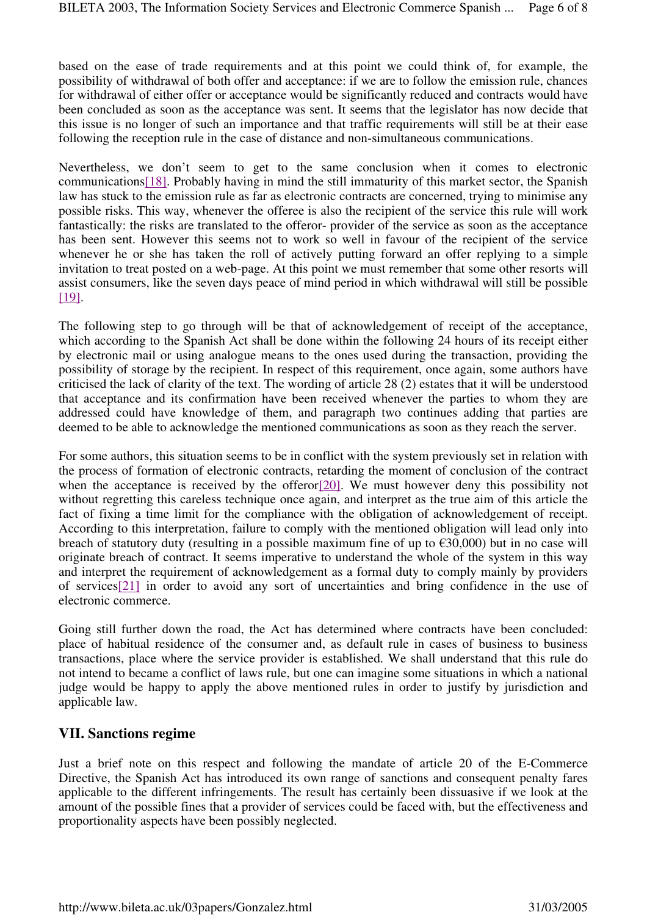based on the ease of trade requirements and at this point we could think of, for example, the possibility of withdrawal of both offer and acceptance: if we are to follow the emission rule, chances for withdrawal of either offer or acceptance would be significantly reduced and contracts would have been concluded as soon as the acceptance was sent. It seems that the legislator has now decide that this issue is no longer of such an importance and that traffic requirements will still be at their ease following the reception rule in the case of distance and non-simultaneous communications.

Nevertheless, we don't seem to get to the same conclusion when it comes to electronic communications[18]. Probably having in mind the still immaturity of this market sector, the Spanish law has stuck to the emission rule as far as electronic contracts are concerned, trying to minimise any possible risks. This way, whenever the offeree is also the recipient of the service this rule will work fantastically: the risks are translated to the offeror- provider of the service as soon as the acceptance has been sent. However this seems not to work so well in favour of the recipient of the service whenever he or she has taken the roll of actively putting forward an offer replying to a simple invitation to treat posted on a web-page. At this point we must remember that some other resorts will assist consumers, like the seven days peace of mind period in which withdrawal will still be possible [19].

The following step to go through will be that of acknowledgement of receipt of the acceptance, which according to the Spanish Act shall be done within the following 24 hours of its receipt either by electronic mail or using analogue means to the ones used during the transaction, providing the possibility of storage by the recipient. In respect of this requirement, once again, some authors have criticised the lack of clarity of the text. The wording of article 28 (2) estates that it will be understood that acceptance and its confirmation have been received whenever the parties to whom they are addressed could have knowledge of them, and paragraph two continues adding that parties are deemed to be able to acknowledge the mentioned communications as soon as they reach the server.

For some authors, this situation seems to be in conflict with the system previously set in relation with the process of formation of electronic contracts, retarding the moment of conclusion of the contract when the acceptance is received by the offeror<sup>[20]</sup>. We must however deny this possibility not without regretting this careless technique once again, and interpret as the true aim of this article the fact of fixing a time limit for the compliance with the obligation of acknowledgement of receipt. According to this interpretation, failure to comply with the mentioned obligation will lead only into breach of statutory duty (resulting in a possible maximum fine of up to  $\epsilon$ 30,000) but in no case will originate breach of contract. It seems imperative to understand the whole of the system in this way and interpret the requirement of acknowledgement as a formal duty to comply mainly by providers of services[21] in order to avoid any sort of uncertainties and bring confidence in the use of electronic commerce.

Going still further down the road, the Act has determined where contracts have been concluded: place of habitual residence of the consumer and, as default rule in cases of business to business transactions, place where the service provider is established. We shall understand that this rule do not intend to became a conflict of laws rule, but one can imagine some situations in which a national judge would be happy to apply the above mentioned rules in order to justify by jurisdiction and applicable law.

## **VII. Sanctions regime**

Just a brief note on this respect and following the mandate of article 20 of the E-Commerce Directive, the Spanish Act has introduced its own range of sanctions and consequent penalty fares applicable to the different infringements. The result has certainly been dissuasive if we look at the amount of the possible fines that a provider of services could be faced with, but the effectiveness and proportionality aspects have been possibly neglected.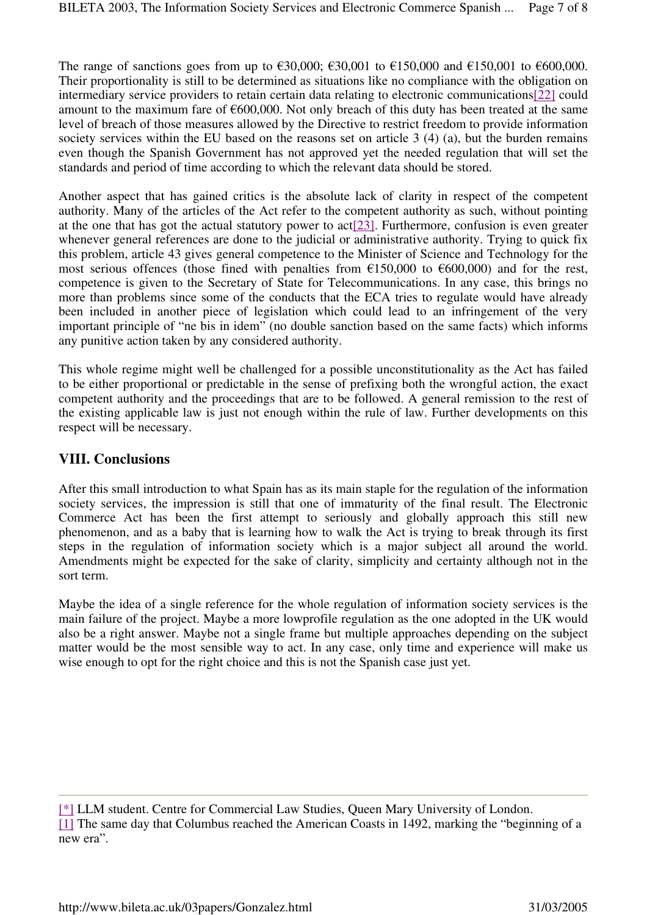The range of sanctions goes from up to  $\epsilon$ 30,000;  $\epsilon$ 30,001 to  $\epsilon$ 150,000 and  $\epsilon$ 150,001 to  $\epsilon$ 600,000. Their proportionality is still to be determined as situations like no compliance with the obligation on intermediary service providers to retain certain data relating to electronic communications[22] could amount to the maximum fare of  $\epsilon$ 600,000. Not only breach of this duty has been treated at the same level of breach of those measures allowed by the Directive to restrict freedom to provide information society services within the EU based on the reasons set on article 3 (4) (a), but the burden remains even though the Spanish Government has not approved yet the needed regulation that will set the standards and period of time according to which the relevant data should be stored.

Another aspect that has gained critics is the absolute lack of clarity in respect of the competent authority. Many of the articles of the Act refer to the competent authority as such, without pointing at the one that has got the actual statutory power to act[23]. Furthermore, confusion is even greater whenever general references are done to the judicial or administrative authority. Trying to quick fix this problem, article 43 gives general competence to the Minister of Science and Technology for the most serious offences (those fined with penalties from  $\epsilon$ 150,000 to  $\epsilon$ 600,000) and for the rest, competence is given to the Secretary of State for Telecommunications. In any case, this brings no more than problems since some of the conducts that the ECA tries to regulate would have already been included in another piece of legislation which could lead to an infringement of the very important principle of "ne bis in idem" (no double sanction based on the same facts) which informs any punitive action taken by any considered authority.

This whole regime might well be challenged for a possible unconstitutionality as the Act has failed to be either proportional or predictable in the sense of prefixing both the wrongful action, the exact competent authority and the proceedings that are to be followed. A general remission to the rest of the existing applicable law is just not enough within the rule of law. Further developments on this respect will be necessary.

#### **VIII. Conclusions**

After this small introduction to what Spain has as its main staple for the regulation of the information society services, the impression is still that one of immaturity of the final result. The Electronic Commerce Act has been the first attempt to seriously and globally approach this still new phenomenon, and as a baby that is learning how to walk the Act is trying to break through its first steps in the regulation of information society which is a major subject all around the world. Amendments might be expected for the sake of clarity, simplicity and certainty although not in the sort term.

Maybe the idea of a single reference for the whole regulation of information society services is the main failure of the project. Maybe a more lowprofile regulation as the one adopted in the UK would also be a right answer. Maybe not a single frame but multiple approaches depending on the subject matter would be the most sensible way to act. In any case, only time and experience will make us wise enough to opt for the right choice and this is not the Spanish case just yet.

<sup>[\*]</sup> LLM student. Centre for Commercial Law Studies, Queen Mary University of London. [1] The same day that Columbus reached the American Coasts in 1492, marking the "beginning of a new era".